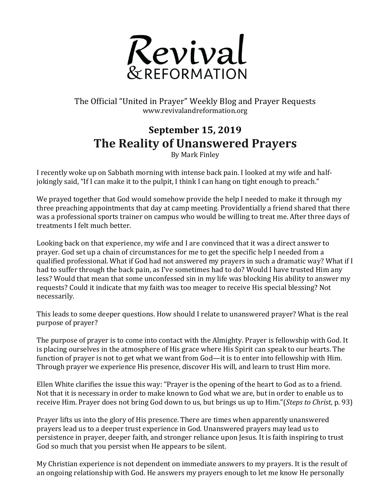

The Official "United in Prayer" Weekly Blog and Prayer Requests www.revivalandreformation.org

## **September 15, 2019 The Reality of Unanswered Prayers**

By Mark Finley

I recently woke up on Sabbath morning with intense back pain. I looked at my wife and halfjokingly said, "If I can make it to the pulpit, I think I can hang on tight enough to preach."

We prayed together that God would somehow provide the help I needed to make it through my three preaching appointments that day at camp meeting. Providentially a friend shared that there was a professional sports trainer on campus who would be willing to treat me. After three days of treatments I felt much better.

Looking back on that experience, my wife and I are convinced that it was a direct answer to prayer. God set up a chain of circumstances for me to get the specific help I needed from a qualified professional. What if God had not answered my prayers in such a dramatic way? What if I had to suffer through the back pain, as I've sometimes had to do? Would I have trusted Him any less? Would that mean that some unconfessed sin in my life was blocking His ability to answer my requests? Could it indicate that my faith was too meager to receive His special blessing? Not necessarily. 

This leads to some deeper questions. How should I relate to unanswered prayer? What is the real purpose of prayer?

The purpose of prayer is to come into contact with the Almighty. Prayer is fellowship with God. It is placing ourselves in the atmosphere of His grace where His Spirit can speak to our hearts. The function of prayer is not to get what we want from God—it is to enter into fellowship with Him. Through prayer we experience His presence, discover His will, and learn to trust Him more.

Ellen White clarifies the issue this way: "Prayer is the opening of the heart to God as to a friend. Not that it is necessary in order to make known to God what we are, but in order to enable us to receive Him. Prayer does not bring God down to us, but brings us up to Him."(*Steps to Christ*, p. 93)

Prayer lifts us into the glory of His presence. There are times when apparently unanswered prayers lead us to a deeper trust experience in God. Unanswered prayers may lead us to persistence in prayer, deeper faith, and stronger reliance upon Jesus. It is faith inspiring to trust God so much that you persist when He appears to be silent.

My Christian experience is not dependent on immediate answers to my prayers. It is the result of an ongoing relationship with God. He answers my prayers enough to let me know He personally